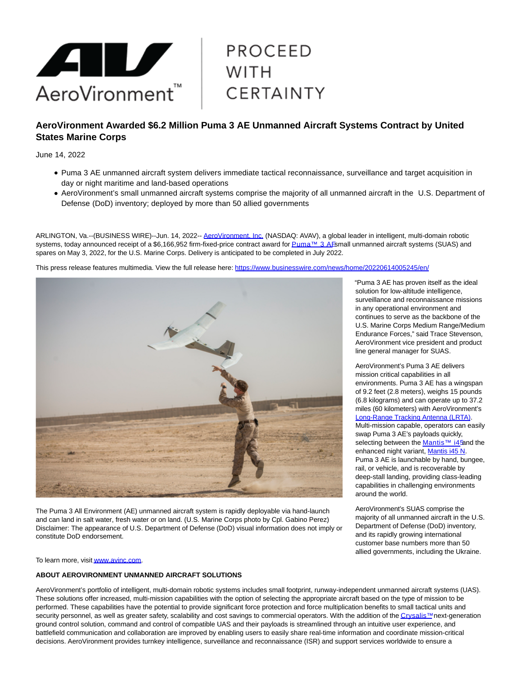

# **PROCEED WITH CERTAINTY**

## **AeroVironment Awarded \$6.2 Million Puma 3 AE Unmanned Aircraft Systems Contract by United States Marine Corps**

June 14, 2022

- Puma 3 AE unmanned aircraft system delivers immediate tactical reconnaissance, surveillance and target acquisition in day or night maritime and land-based operations
- AeroVironment's small unmanned aircraft systems comprise the majority of all unmanned aircraft in the U.S. Department of Defense (DoD) inventory; deployed by more than 50 allied governments

ARLINGTON, Va.--(BUSINESS WIRE)--Jun. 14, 2022-- [AeroVironment, Inc. \(](https://cts.businesswire.com/ct/CT?id=smartlink&url=https%3A%2F%2Fwww.avinc.com%2F&esheet=52748549&newsitemid=20220614005245&lan=en-US&anchor=AeroVironment%2C+Inc.&index=1&md5=d7c3432f202d42e85834c5c1287668b0)NASDAQ: AVAV), a global leader in intelligent, multi-domain robotic systems, today announced receipt of a \$6,166,952 firm-fixed-price contract award fo[r Puma™ 3 AE s](https://cts.businesswire.com/ct/CT?id=smartlink&url=https%3A%2F%2Fwww.avinc.com%2Fuas%2Fpuma-ae&esheet=52748549&newsitemid=20220614005245&lan=en-US&anchor=Puma%26%238482%3B+3+AE&index=2&md5=c23a562be9d55804c79893f026f56ba4)mall unmanned aircraft systems (SUAS) and spares on May 3, 2022, for the U.S. Marine Corps. Delivery is anticipated to be completed in July 2022.

This press release features multimedia. View the full release here:<https://www.businesswire.com/news/home/20220614005245/en/>



The Puma 3 All Environment (AE) unmanned aircraft system is rapidly deployable via hand-launch and can land in salt water, fresh water or on land. (U.S. Marine Corps photo by Cpl. Gabino Perez) Disclaimer: The appearance of U.S. Department of Defense (DoD) visual information does not imply or constitute DoD endorsement.

To learn more, visi[t www.avinc.com.](https://cts.businesswire.com/ct/CT?id=smartlink&url=http%3A%2F%2Fwww.avinc.com&esheet=52748549&newsitemid=20220614005245&lan=en-US&anchor=www.avinc.com&index=6&md5=c7cfd298d4dccf376da53f4cd9986640)

#### **ABOUT AEROVIRONMENT UNMANNED AIRCRAFT SOLUTIONS**

AeroVironment's portfolio of intelligent, multi-domain robotic systems includes small footprint, runway-independent unmanned aircraft systems (UAS). These solutions offer increased, multi-mission capabilities with the option of selecting the appropriate aircraft based on the type of mission to be performed. These capabilities have the potential to provide significant force protection and force multiplication benefits to small tactical units and security personnel, as well as greater safety, scalability and cost savings to commercial operators. With the addition of th[e Crysalis™ n](https://cts.businesswire.com/ct/CT?id=smartlink&url=https%3A%2F%2Fwww.avinc.com%2Fuas%2Fnetwork-connectivity%2Fcrysalis&esheet=52748549&newsitemid=20220614005245&lan=en-US&anchor=Crysalis%26%238482%3B&index=7&md5=16e3cb6b2d4ca7e7552faa5f0ada458f)ext-generation ground control solution, command and control of compatible UAS and their payloads is streamlined through an intuitive user experience, and battlefield communication and collaboration are improved by enabling users to easily share real-time information and coordinate mission-critical decisions. AeroVironment provides turnkey intelligence, surveillance and reconnaissance (ISR) and support services worldwide to ensure a

"Puma 3 AE has proven itself as the ideal solution for low-altitude intelligence, surveillance and reconnaissance missions in any operational environment and continues to serve as the backbone of the U.S. Marine Corps Medium Range/Medium Endurance Forces," said Trace Stevenson, AeroVironment vice president and product line general manager for SUAS.

AeroVironment's Puma 3 AE delivers mission critical capabilities in all environments. Puma 3 AE has a wingspan of 9.2 feet (2.8 meters), weighs 15 pounds (6.8 kilograms) and can operate up to 37.2 miles (60 kilometers) with AeroVironment's [Long-Range Tracking Antenna \(LRTA\).](https://cts.businesswire.com/ct/CT?id=smartlink&url=https%3A%2F%2Fwww.avinc.com%2Fuas%2Fview%2Flrta-long-range-tracking-antenna-system&esheet=52748549&newsitemid=20220614005245&lan=en-US&anchor=Long-Range+Tracking+Antenna+%28LRTA%29&index=3&md5=f0cdb0f870a946d77901b02bcfd6b068) Multi-mission capable, operators can easily swap Puma 3 AE's payloads quickly, selecting between the [Mantis™ i45 a](https://cts.businesswire.com/ct/CT?id=smartlink&url=https%3A%2F%2Fwww.avinc.com%2Fuas%2Fpayloads&esheet=52748549&newsitemid=20220614005245&lan=en-US&anchor=Mantis%26%238482%3B+i45&index=4&md5=fa255304a7a2db3dadbbf0691c7840a4)nd the enhanced night variant, [Mantis i45 N.](https://cts.businesswire.com/ct/CT?id=smartlink&url=https%3A%2F%2Fwww.avinc.com%2Fuas%2Fpayloads&esheet=52748549&newsitemid=20220614005245&lan=en-US&anchor=Mantis+i45+N&index=5&md5=9b514d854fa178bab8556c910c27860a) Puma 3 AE is launchable by hand, bungee, rail, or vehicle, and is recoverable by deep-stall landing, providing class-leading capabilities in challenging environments around the world.

AeroVironment's SUAS comprise the majority of all unmanned aircraft in the U.S. Department of Defense (DoD) inventory, and its rapidly growing international customer base numbers more than 50 allied governments, including the Ukraine.